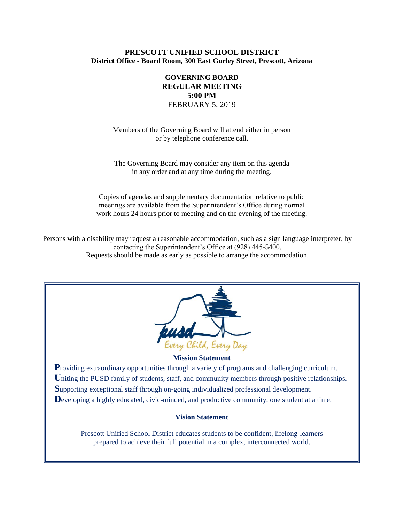## **PRESCOTT UNIFIED SCHOOL DISTRICT District Office - Board Room, 300 East Gurley Street, Prescott, Arizona**

# **GOVERNING BOARD REGULAR MEETING 5:00 PM** FEBRUARY 5, 2019

Members of the Governing Board will attend either in person or by telephone conference call.

The Governing Board may consider any item on this agenda in any order and at any time during the meeting.

Copies of agendas and supplementary documentation relative to public meetings are available from the Superintendent's Office during normal work hours 24 hours prior to meeting and on the evening of the meeting.

Persons with a disability may request a reasonable accommodation, such as a sign language interpreter, by contacting the Superintendent's Office at (928) 445-5400. Requests should be made as early as possible to arrange the accommodation.



#### **Mission Statement**

**Providing extraordinary opportunities through a variety of programs and challenging curriculum.** Uniting the PUSD family of students, staff, and community members through positive relationships. **S**upporting exceptional staff through on-going individualized professional development. Developing a highly educated, civic-minded, and productive community, one student at a time.

#### **Vision Statement**

Prescott Unified School District educates students to be confident, lifelong-learners prepared to achieve their full potential in a complex, interconnected world.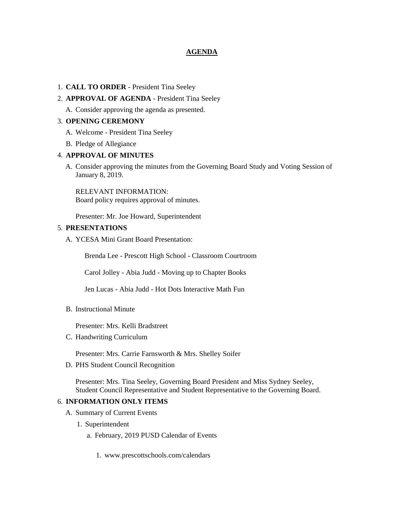### **AGENDA**

#### 1. **CALL TO ORDER** - President Tina Seeley

#### 2. **APPROVAL OF AGENDA** - President Tina Seeley

A. Consider approving the agenda as presented.

### 3. **OPENING CEREMONY**

- A. Welcome President Tina Seeley
- B. Pledge of Allegiance

#### 4. **APPROVAL OF MINUTES**

A. Consider approving the minutes from the Governing Board Study and Voting Session of January 8, 2019.

RELEVANT INFORMATION: Board policy requires approval of minutes.

Presenter: Mr. Joe Howard, Superintendent

#### 5. **PRESENTATIONS**

A. YCESA Mini Grant Board Presentation:

Brenda Lee - Prescott High School - Classroom Courtroom

Carol Jolley - Abia Judd - Moving up to Chapter Books

Jen Lucas - Abia Judd - Hot Dots Interactive Math Fun

B. Instructional Minute

Presenter: Mrs. Kelli Bradstreet

C. Handwriting Curriculum

Presenter: Mrs. Carrie Farnsworth & Mrs. Shelley Soifer

D. PHS Student Council Recognition

Presenter: Mrs. Tina Seeley, Governing Board President and Miss Sydney Seeley, Student Council Representative and Student Representative to the Governing Board.

#### 6. **INFORMATION ONLY ITEMS**

- A. Summary of Current Events
	- 1. Superintendent
		- a. February, 2019 PUSD Calendar of Events
			- 1. www.prescottschools.com/calendars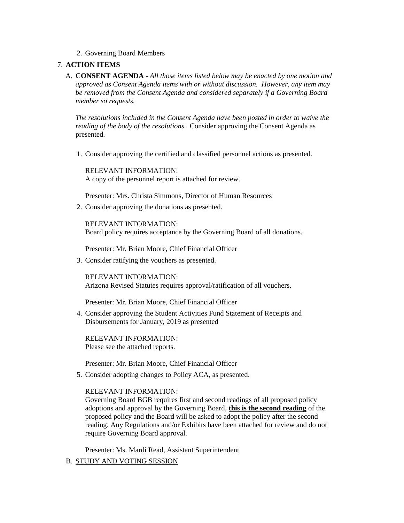2. Governing Board Members

## 7. **ACTION ITEMS**

A. **CONSENT AGENDA** - *All those items listed below may be enacted by one motion and approved as Consent Agenda items with or without discussion. However, any item may be removed from the Consent Agenda and considered separately if a Governing Board member so requests.*

*The resolutions included in the Consent Agenda have been posted in order to waive the reading of the body of the resolutions.* Consider approving the Consent Agenda as presented.

1. Consider approving the certified and classified personnel actions as presented.

RELEVANT INFORMATION: A copy of the personnel report is attached for review.

Presenter: Mrs. Christa Simmons, Director of Human Resources

2. Consider approving the donations as presented.

RELEVANT INFORMATION: Board policy requires acceptance by the Governing Board of all donations.

Presenter: Mr. Brian Moore, Chief Financial Officer

3. Consider ratifying the vouchers as presented.

RELEVANT INFORMATION: Arizona Revised Statutes requires approval/ratification of all vouchers.

Presenter: Mr. Brian Moore, Chief Financial Officer

4. Consider approving the Student Activities Fund Statement of Receipts and Disbursements for January, 2019 as presented

RELEVANT INFORMATION: Please see the attached reports.

Presenter: Mr. Brian Moore, Chief Financial Officer

5. Consider adopting changes to Policy ACA, as presented.

### RELEVANT INFORMATION:

Governing Board BGB requires first and second readings of all proposed policy adoptions and approval by the Governing Board, **this is the second reading** of the proposed policy and the Board will be asked to adopt the policy after the second reading. Any Regulations and/or Exhibits have been attached for review and do not require Governing Board approval.

Presenter: Ms. Mardi Read, Assistant Superintendent

B. STUDY AND VOTING SESSION